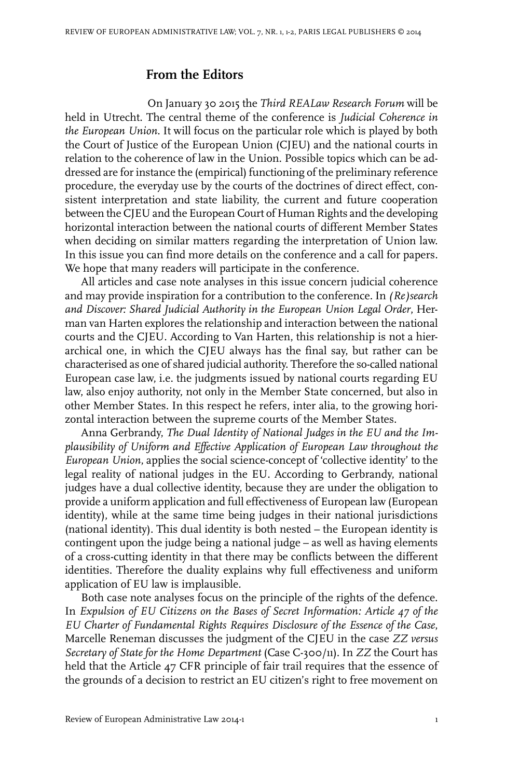## **From the Editors**

On January 30 2015 the *Third REALaw Research Forum* will be held in Utrecht. The central theme of the conference is *Judicial Coherence in the European Union*. It will focus on the particular role which is played by both the Court of Justice of the European Union (CJEU) and the national courts in relation to the coherence of law in the Union. Possible topics which can be addressed are for instance the (empirical) functioning of the preliminary reference procedure, the everyday use by the courts of the doctrines of direct effect, consistent interpretation and state liability, the current and future cooperation between the CJEU and the European Court of Human Rights and the developing horizontal interaction between the national courts of different Member States when deciding on similar matters regarding the interpretation of Union law. In this issue you can find more details on the conference and a call for papers. We hope that many readers will participate in the conference.

All articles and case note analyses in this issue concern judicial coherence and may provide inspiration for a contribution to the conference. In *(Re)search and Discover: Shared Judicial Authority in the European Union Legal Order*, Herman van Harten explores the relationship and interaction between the national courts and the CJEU. According to Van Harten, this relationship is not a hierarchical one, in which the CJEU always has the final say, but rather can be characterised as one of shared judicial authority. Therefore the so-called national European case law, i.e. the judgments issued by national courts regarding EU law, also enjoy authority, not only in the Member State concerned, but also in other Member States. In this respect he refers, inter alia, to the growing horizontal interaction between the supreme courts of the Member States.

Anna Gerbrandy, *The Dual Identity of National Judges in the EU and the Implausibility of Uniform and Effective Application of European Law throughout the European Union*, applies the social science-concept of 'collective identity' to the legal reality of national judges in the EU. According to Gerbrandy, national judges have a dual collective identity, because they are under the obligation to provide a uniform application and full effectiveness of European law (European identity), while at the same time being judges in their national jurisdictions (national identity). This dual identity is both nested – the European identity is contingent upon the judge being a national judge – as well as having elements of a cross-cutting identity in that there may be conflicts between the different identities. Therefore the duality explains why full effectiveness and uniform application of EU law is implausible.

Both case note analyses focus on the principle of the rights of the defence. In *Expulsion of EU Citizens on the Bases of Secret Information: Article 47 of the EU Charter of Fundamental Rights Requires Disclosure of the Essence of the Case*, Marcelle Reneman discusses the judgment of the CJEU in the case *ZZ versus Secretary of State for the Home Department* (Case C-300/11). In *ZZ* the Court has held that the Article 47 CFR principle of fair trail requires that the essence of the grounds of a decision to restrict an EU citizen's right to free movement on